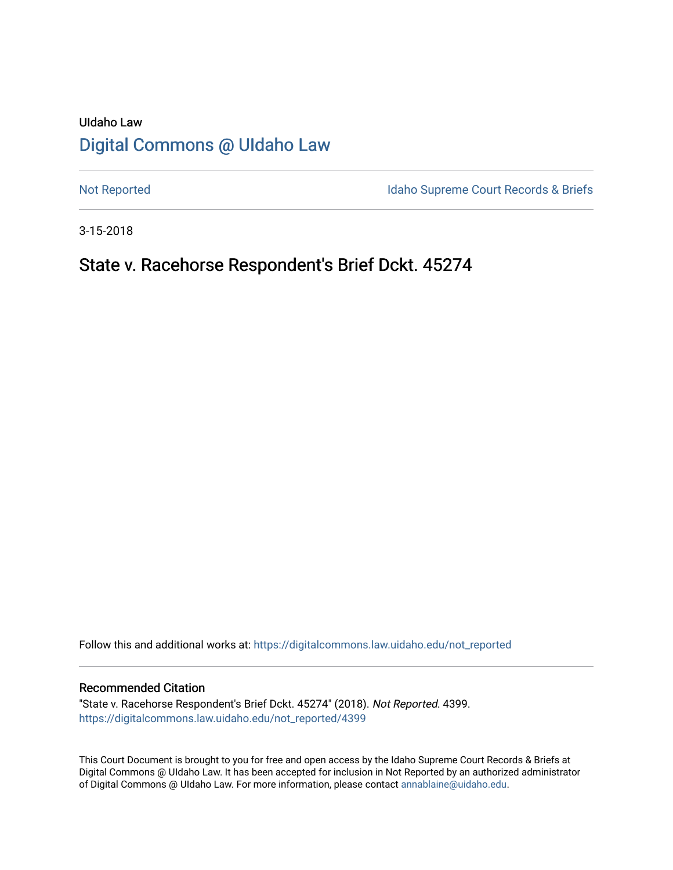# UIdaho Law [Digital Commons @ UIdaho Law](https://digitalcommons.law.uidaho.edu/)

[Not Reported](https://digitalcommons.law.uidaho.edu/not_reported) **Idaho Supreme Court Records & Briefs** 

3-15-2018

# State v. Racehorse Respondent's Brief Dckt. 45274

Follow this and additional works at: [https://digitalcommons.law.uidaho.edu/not\\_reported](https://digitalcommons.law.uidaho.edu/not_reported?utm_source=digitalcommons.law.uidaho.edu%2Fnot_reported%2F4399&utm_medium=PDF&utm_campaign=PDFCoverPages) 

#### Recommended Citation

"State v. Racehorse Respondent's Brief Dckt. 45274" (2018). Not Reported. 4399. [https://digitalcommons.law.uidaho.edu/not\\_reported/4399](https://digitalcommons.law.uidaho.edu/not_reported/4399?utm_source=digitalcommons.law.uidaho.edu%2Fnot_reported%2F4399&utm_medium=PDF&utm_campaign=PDFCoverPages)

This Court Document is brought to you for free and open access by the Idaho Supreme Court Records & Briefs at Digital Commons @ UIdaho Law. It has been accepted for inclusion in Not Reported by an authorized administrator of Digital Commons @ UIdaho Law. For more information, please contact [annablaine@uidaho.edu](mailto:annablaine@uidaho.edu).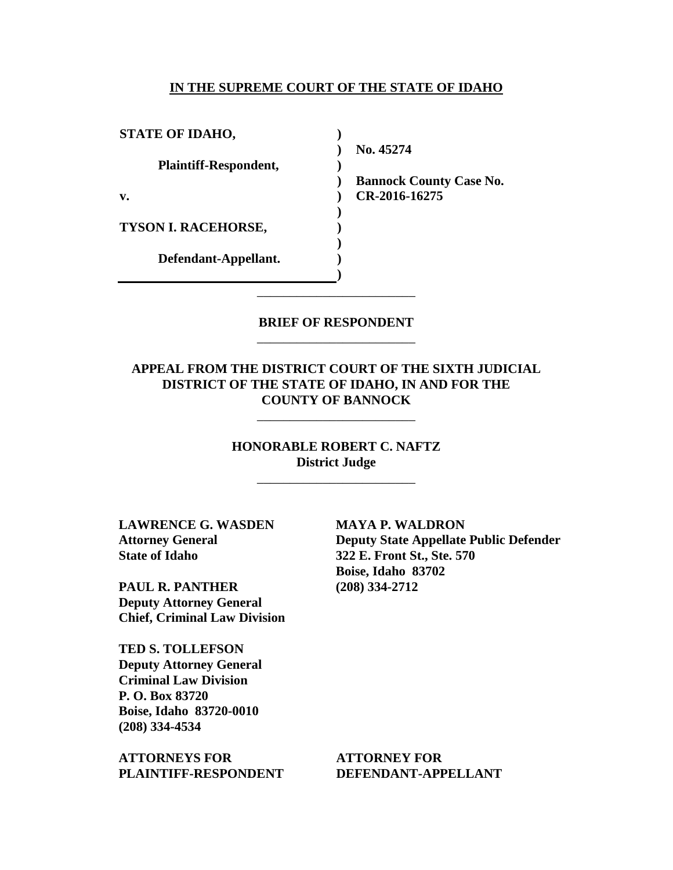#### **IN THE SUPREME COURT OF THE STATE OF IDAHO**

| <b>STATE OF IDAHO,</b>       |     |
|------------------------------|-----|
|                              | No. |
| <b>Plaintiff-Respondent,</b> |     |
|                              | Ban |
| v.                           | R.  |
|                              |     |
| TYSON I. RACEHORSE,          |     |
|                              |     |
| Defendant-Appellant.         |     |
|                              |     |

**No. 45274** 

**Bannock County Case No. CR-2016-16275** 

## **BRIEF OF RESPONDENT** \_\_\_\_\_\_\_\_\_\_\_\_\_\_\_\_\_\_\_\_\_\_\_\_

\_\_\_\_\_\_\_\_\_\_\_\_\_\_\_\_\_\_\_\_\_\_\_\_

## **APPEAL FROM THE DISTRICT COURT OF THE SIXTH JUDICIAL DISTRICT OF THE STATE OF IDAHO, IN AND FOR THE COUNTY OF BANNOCK**

\_\_\_\_\_\_\_\_\_\_\_\_\_\_\_\_\_\_\_\_\_\_\_\_

# **HONORABLE ROBERT C. NAFTZ District Judge**

\_\_\_\_\_\_\_\_\_\_\_\_\_\_\_\_\_\_\_\_\_\_\_\_

**LAWRENCE G. WASDEN Attorney General State of Idaho**

**PAUL R. PANTHER Deputy Attorney General Chief, Criminal Law Division**

**TED S. TOLLEFSON Deputy Attorney General Criminal Law Division P. O. Box 83720 Boise, Idaho 83720-0010 (208) 334-4534** 

**ATTORNEYS FOR PLAINTIFF-RESPONDENT** **MAYA P. WALDRON Deputy State Appellate Public Defender 322 E. Front St., Ste. 570 Boise, Idaho 83702 (208) 334-2712** 

**ATTORNEY FOR DEFENDANT-APPELLANT**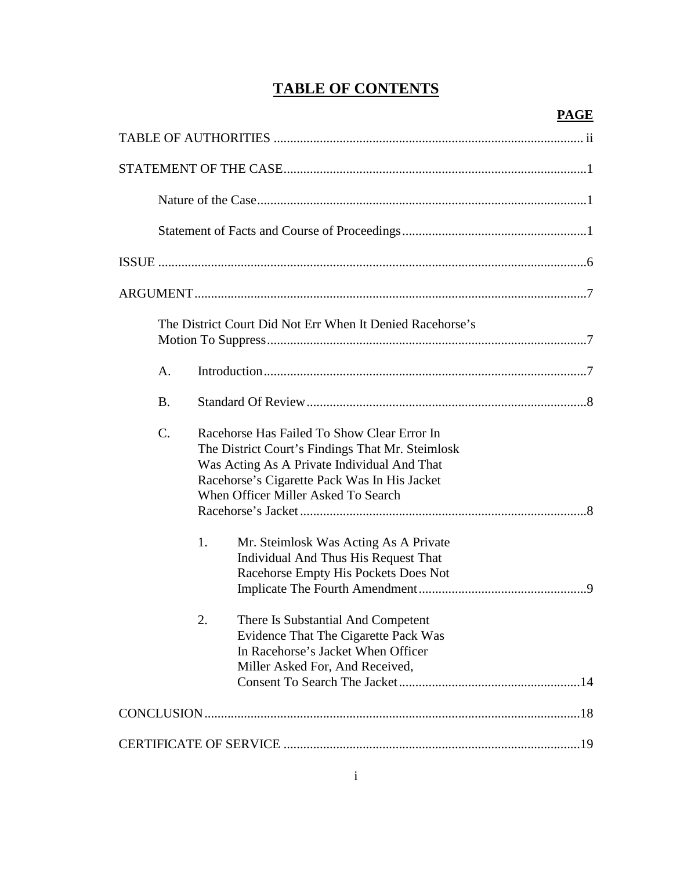# **TABLE OF CONTENTS**

# **PAGE**

| The District Court Did Not Err When It Denied Racehorse's                                                                                                                                                                                      |  |
|------------------------------------------------------------------------------------------------------------------------------------------------------------------------------------------------------------------------------------------------|--|
| A.                                                                                                                                                                                                                                             |  |
| <b>B.</b>                                                                                                                                                                                                                                      |  |
| $C$ .<br>Racehorse Has Failed To Show Clear Error In<br>The District Court's Findings That Mr. Steimlosk<br>Was Acting As A Private Individual And That<br>Racehorse's Cigarette Pack Was In His Jacket<br>When Officer Miller Asked To Search |  |
| 1.<br>Mr. Steimlosk Was Acting As A Private<br>Individual And Thus His Request That<br>Racehorse Empty His Pockets Does Not                                                                                                                    |  |
| There Is Substantial And Competent<br>2.<br>Evidence That The Cigarette Pack Was<br>In Racehorse's Jacket When Officer<br>Miller Asked For, And Received,                                                                                      |  |
|                                                                                                                                                                                                                                                |  |
|                                                                                                                                                                                                                                                |  |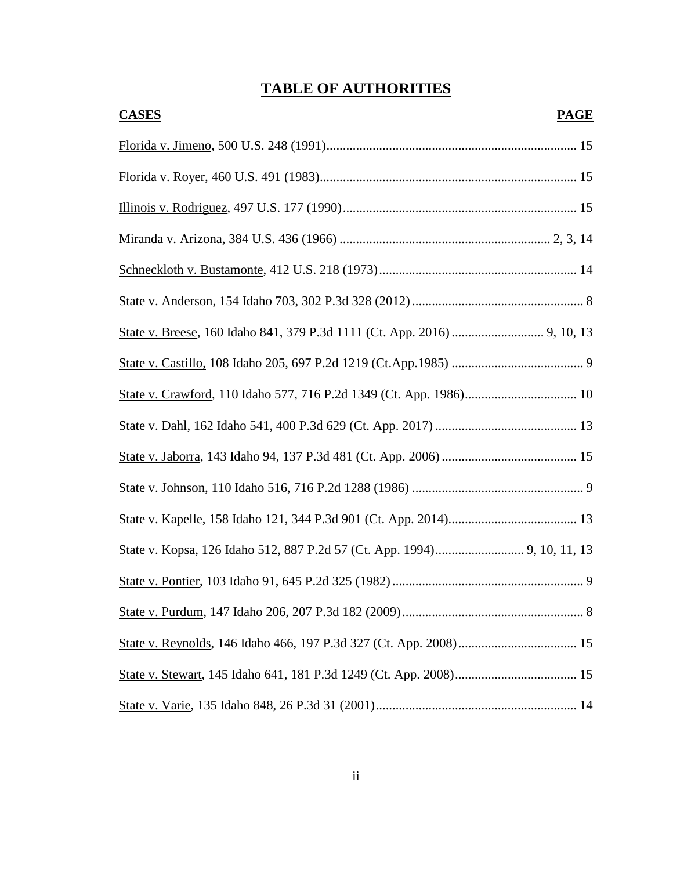# **TABLE OF AUTHORITIES**

| <b>CASES</b> | <b>PAGE</b> |
|--------------|-------------|
|              |             |
|              |             |
|              |             |
|              |             |
|              |             |
|              |             |
|              |             |
|              |             |
|              |             |
|              |             |
|              |             |
|              |             |
|              |             |
|              |             |
|              |             |
|              |             |
|              |             |
|              |             |
|              |             |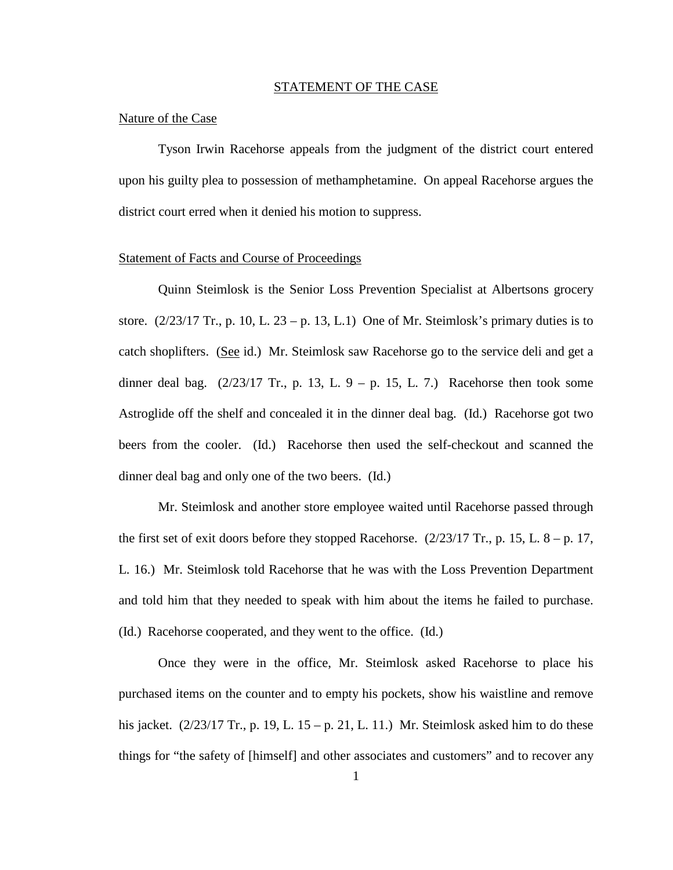#### STATEMENT OF THE CASE

#### Nature of the Case

Tyson Irwin Racehorse appeals from the judgment of the district court entered upon his guilty plea to possession of methamphetamine. On appeal Racehorse argues the district court erred when it denied his motion to suppress.

#### Statement of Facts and Course of Proceedings

Quinn Steimlosk is the Senior Loss Prevention Specialist at Albertsons grocery store.  $(2/23/17 \text{ Tr.}, p. 10, L. 23 - p. 13, L.1)$  One of Mr. Steimlosk's primary duties is to catch shoplifters. (See id.) Mr. Steimlosk saw Racehorse go to the service deli and get a dinner deal bag.  $(2/23/17 \text{ Tr.}, p. 13, L. 9 - p. 15, L. 7.)$  Racehorse then took some Astroglide off the shelf and concealed it in the dinner deal bag. (Id.) Racehorse got two beers from the cooler. (Id.) Racehorse then used the self-checkout and scanned the dinner deal bag and only one of the two beers. (Id.)

Mr. Steimlosk and another store employee waited until Racehorse passed through the first set of exit doors before they stopped Racehorse.  $(2/23/17 \text{ Tr}$ , p. 15, L. 8 – p. 17, L. 16.) Mr. Steimlosk told Racehorse that he was with the Loss Prevention Department and told him that they needed to speak with him about the items he failed to purchase. (Id.) Racehorse cooperated, and they went to the office. (Id.)

Once they were in the office, Mr. Steimlosk asked Racehorse to place his purchased items on the counter and to empty his pockets, show his waistline and remove his jacket.  $(2/23/17 \text{ Tr.}, p. 19, L. 15 - p. 21, L. 11.)$  Mr. Steimlosk asked him to do these things for "the safety of [himself] and other associates and customers" and to recover any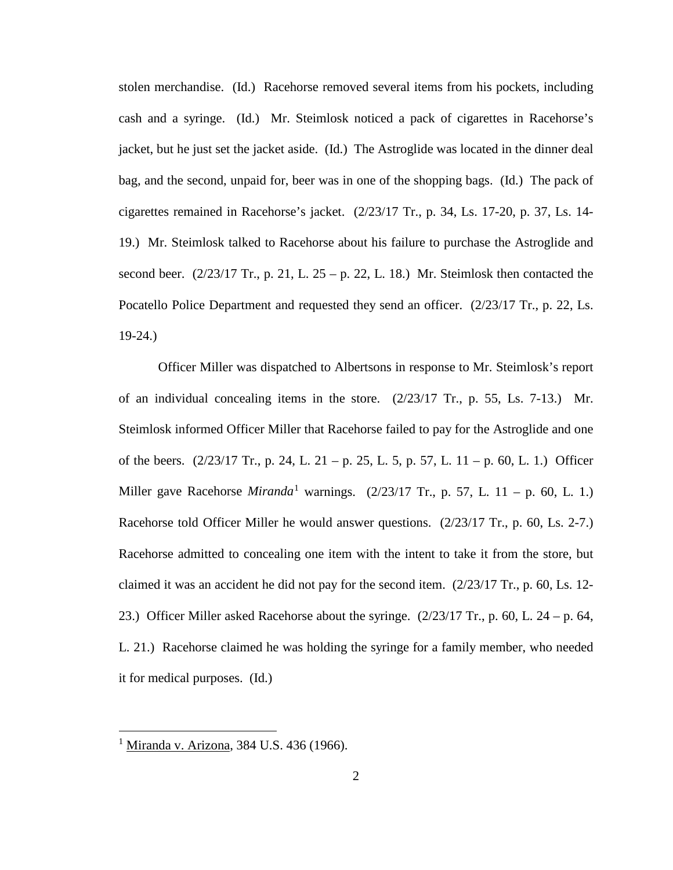stolen merchandise. (Id.) Racehorse removed several items from his pockets, including cash and a syringe. (Id.) Mr. Steimlosk noticed a pack of cigarettes in Racehorse's jacket, but he just set the jacket aside. (Id.) The Astroglide was located in the dinner deal bag, and the second, unpaid for, beer was in one of the shopping bags. (Id.) The pack of cigarettes remained in Racehorse's jacket. (2/23/17 Tr., p. 34, Ls. 17-20, p. 37, Ls. 14- 19.) Mr. Steimlosk talked to Racehorse about his failure to purchase the Astroglide and second beer.  $(2/23/17 \text{ Tr.}, p. 21, L. 25 - p. 22, L. 18.)$  Mr. Steimlosk then contacted the Pocatello Police Department and requested they send an officer. (2/23/17 Tr., p. 22, Ls. 19-24.)

Officer Miller was dispatched to Albertsons in response to Mr. Steimlosk's report of an individual concealing items in the store. (2/23/17 Tr., p. 55, Ls. 7-13.) Mr. Steimlosk informed Officer Miller that Racehorse failed to pay for the Astroglide and one of the beers.  $(2/23/17 \text{ Tr}$ , p. 24, L. 21 – p. 25, L. 5, p. 57, L. 11 – p. 60, L. 1.) Officer Miller gave Racehorse *Miranda*<sup>[1](#page-6-0)</sup> warnings.  $(2/23/17 \text{ Tr.}, p. 57, L. 11 - p. 60, L. 1.)$ Racehorse told Officer Miller he would answer questions. (2/23/17 Tr., p. 60, Ls. 2-7.) Racehorse admitted to concealing one item with the intent to take it from the store, but claimed it was an accident he did not pay for the second item. (2/23/17 Tr., p. 60, Ls. 12- 23.) Officer Miller asked Racehorse about the syringe.  $(2/23/17 \text{ Tr}$ , p. 60, L. 24 – p. 64, L. 21.) Racehorse claimed he was holding the syringe for a family member, who needed it for medical purposes. (Id.)

 $\overline{a}$ 

<span id="page-6-0"></span><sup>&</sup>lt;sup>1</sup> Miranda v. Arizona, 384 U.S. 436 (1966).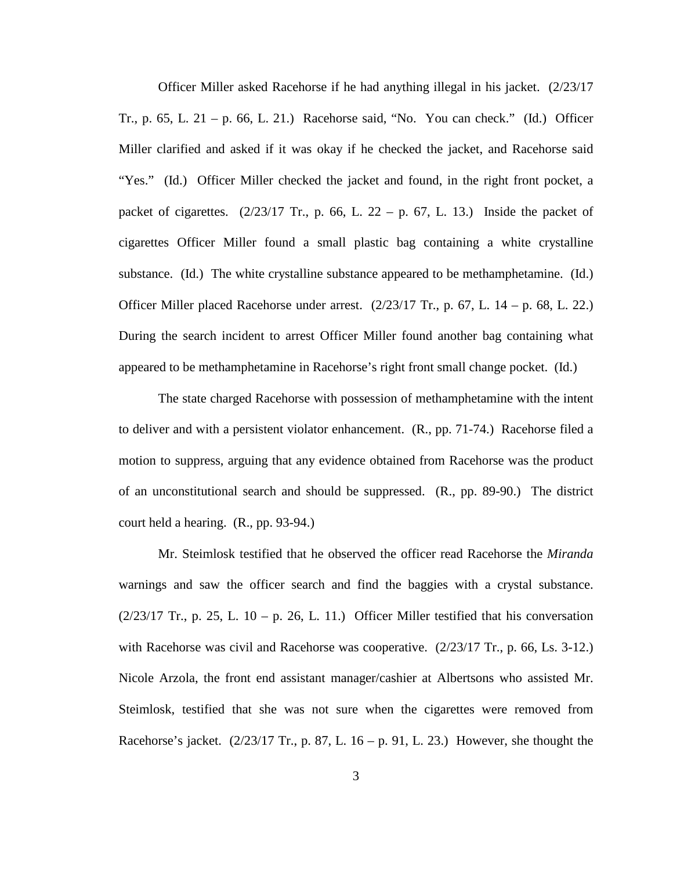Officer Miller asked Racehorse if he had anything illegal in his jacket. (2/23/17 Tr., p. 65, L. 21 – p. 66, L. 21.) Racehorse said, "No. You can check." (Id.) Officer Miller clarified and asked if it was okay if he checked the jacket, and Racehorse said "Yes." (Id.) Officer Miller checked the jacket and found, in the right front pocket, a packet of cigarettes.  $(2/23/17 \text{ Tr.}, p. 66, L. 22 - p. 67, L. 13.)$  Inside the packet of cigarettes Officer Miller found a small plastic bag containing a white crystalline substance. (Id.) The white crystalline substance appeared to be methamphetamine. (Id.) Officer Miller placed Racehorse under arrest. (2/23/17 Tr., p. 67, L. 14 – p. 68, L. 22.) During the search incident to arrest Officer Miller found another bag containing what appeared to be methamphetamine in Racehorse's right front small change pocket. (Id.)

The state charged Racehorse with possession of methamphetamine with the intent to deliver and with a persistent violator enhancement. (R., pp. 71-74.) Racehorse filed a motion to suppress, arguing that any evidence obtained from Racehorse was the product of an unconstitutional search and should be suppressed. (R., pp. 89-90.) The district court held a hearing. (R., pp. 93-94.)

Mr. Steimlosk testified that he observed the officer read Racehorse the *Miranda* warnings and saw the officer search and find the baggies with a crystal substance.  $(2/23/17$  Tr., p. 25, L. 10 – p. 26, L. 11.) Officer Miller testified that his conversation with Racehorse was civil and Racehorse was cooperative. (2/23/17 Tr., p. 66, Ls. 3-12.) Nicole Arzola, the front end assistant manager/cashier at Albertsons who assisted Mr. Steimlosk, testified that she was not sure when the cigarettes were removed from Racehorse's jacket.  $(2/23/17 \text{ Tr.}, p. 87, L. 16 - p. 91, L. 23.)$  However, she thought the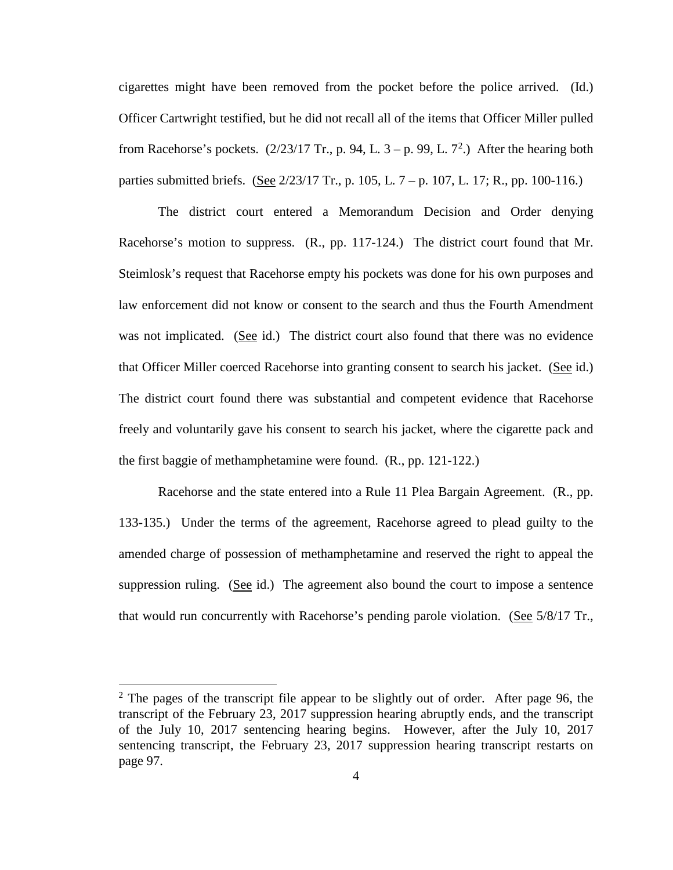cigarettes might have been removed from the pocket before the police arrived. (Id.) Officer Cartwright testified, but he did not recall all of the items that Officer Miller pulled from Racehorse's pockets.  $(2/23/17 \text{ Tr.}, p. 94, L. 3 - p. 99, L. 7^2)$  $(2/23/17 \text{ Tr.}, p. 94, L. 3 - p. 99, L. 7^2)$  $(2/23/17 \text{ Tr.}, p. 94, L. 3 - p. 99, L. 7^2)$  After the hearing both parties submitted briefs. (See 2/23/17 Tr., p. 105, L. 7 – p. 107, L. 17; R., pp. 100-116.)

The district court entered a Memorandum Decision and Order denying Racehorse's motion to suppress. (R., pp. 117-124.) The district court found that Mr. Steimlosk's request that Racehorse empty his pockets was done for his own purposes and law enforcement did not know or consent to the search and thus the Fourth Amendment was not implicated. (See id.) The district court also found that there was no evidence that Officer Miller coerced Racehorse into granting consent to search his jacket. (See id.) The district court found there was substantial and competent evidence that Racehorse freely and voluntarily gave his consent to search his jacket, where the cigarette pack and the first baggie of methamphetamine were found. (R., pp. 121-122.)

Racehorse and the state entered into a Rule 11 Plea Bargain Agreement. (R., pp. 133-135.) Under the terms of the agreement, Racehorse agreed to plead guilty to the amended charge of possession of methamphetamine and reserved the right to appeal the suppression ruling. (See id.) The agreement also bound the court to impose a sentence that would run concurrently with Racehorse's pending parole violation. (See 5/8/17 Tr.,

 $\overline{a}$ 

<span id="page-8-0"></span> $2$  The pages of the transcript file appear to be slightly out of order. After page 96, the transcript of the February 23, 2017 suppression hearing abruptly ends, and the transcript of the July 10, 2017 sentencing hearing begins. However, after the July 10, 2017 sentencing transcript, the February 23, 2017 suppression hearing transcript restarts on page 97.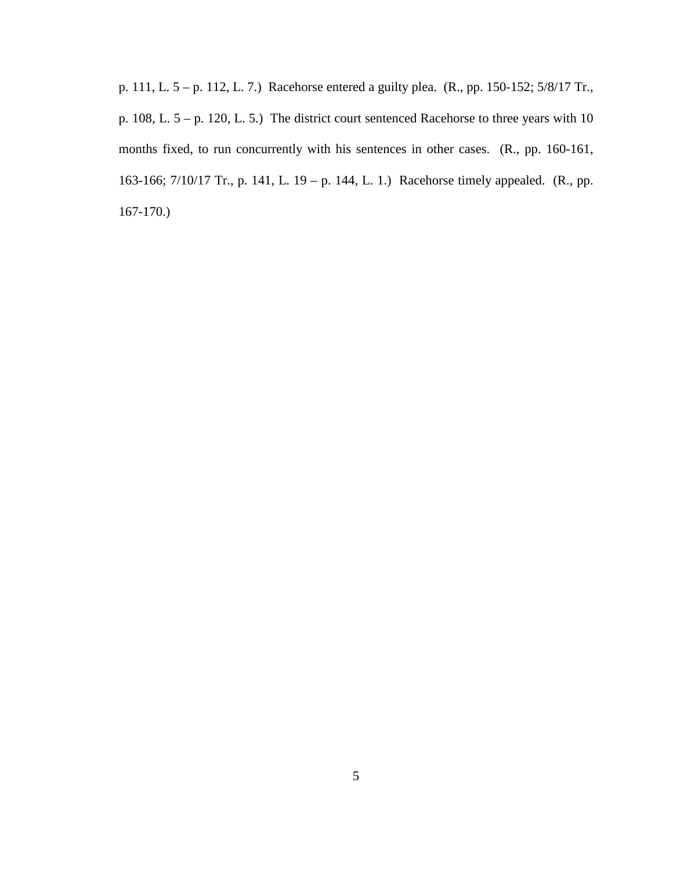p. 111, L. 5 – p. 112, L. 7.) Racehorse entered a guilty plea. (R., pp. 150-152; 5/8/17 Tr., p. 108, L. 5 – p. 120, L. 5.) The district court sentenced Racehorse to three years with 10 months fixed, to run concurrently with his sentences in other cases. (R., pp. 160-161, 163-166; 7/10/17 Tr., p. 141, L. 19 – p. 144, L. 1.) Racehorse timely appealed. (R., pp. 167-170.)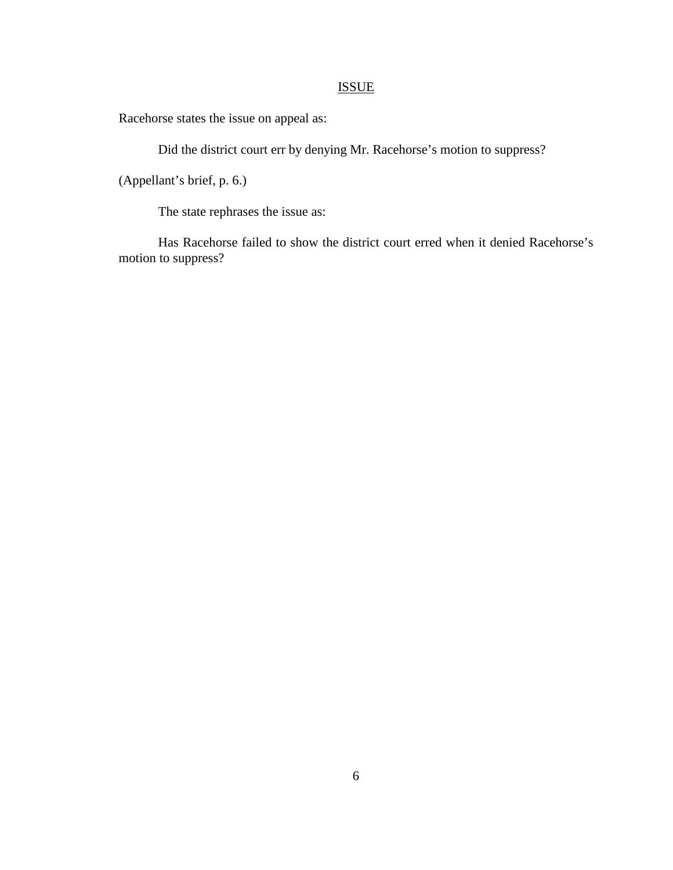# ISSUE

Racehorse states the issue on appeal as:

Did the district court err by denying Mr. Racehorse's motion to suppress?

(Appellant's brief, p. 6.)

The state rephrases the issue as:

Has Racehorse failed to show the district court erred when it denied Racehorse's motion to suppress?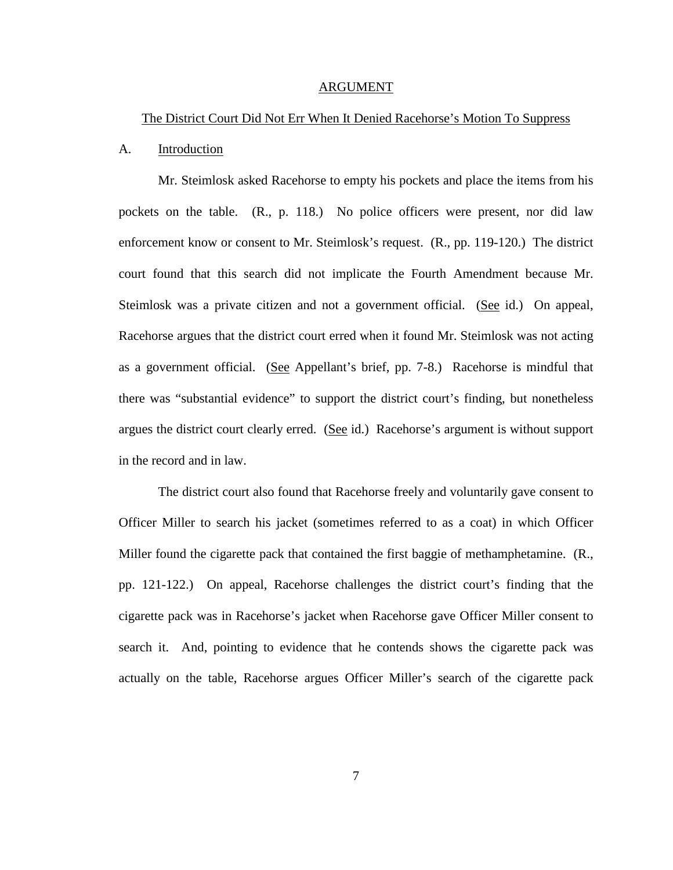#### ARGUMENT

#### The District Court Did Not Err When It Denied Racehorse's Motion To Suppress

#### A. Introduction

Mr. Steimlosk asked Racehorse to empty his pockets and place the items from his pockets on the table. (R., p. 118.) No police officers were present, nor did law enforcement know or consent to Mr. Steimlosk's request. (R., pp. 119-120.) The district court found that this search did not implicate the Fourth Amendment because Mr. Steimlosk was a private citizen and not a government official. (See id.) On appeal, Racehorse argues that the district court erred when it found Mr. Steimlosk was not acting as a government official. (See Appellant's brief, pp. 7-8.) Racehorse is mindful that there was "substantial evidence" to support the district court's finding, but nonetheless argues the district court clearly erred. (See id.) Racehorse's argument is without support in the record and in law.

The district court also found that Racehorse freely and voluntarily gave consent to Officer Miller to search his jacket (sometimes referred to as a coat) in which Officer Miller found the cigarette pack that contained the first baggie of methamphetamine. (R., pp. 121-122.) On appeal, Racehorse challenges the district court's finding that the cigarette pack was in Racehorse's jacket when Racehorse gave Officer Miller consent to search it. And, pointing to evidence that he contends shows the cigarette pack was actually on the table, Racehorse argues Officer Miller's search of the cigarette pack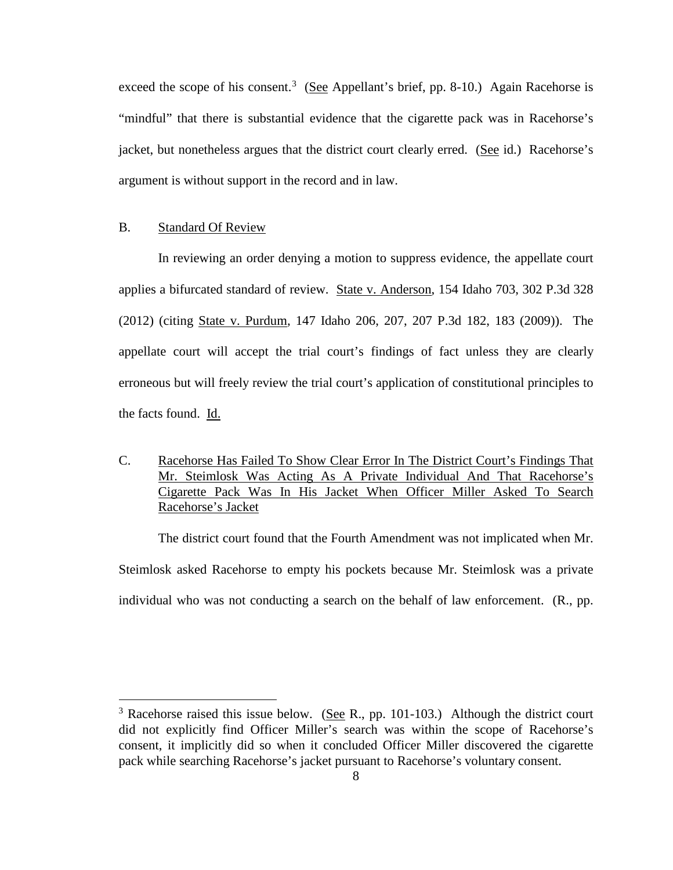exceed the scope of his consent.<sup>[3](#page-12-0)</sup> (See Appellant's brief, pp. 8-10.) Again Racehorse is "mindful" that there is substantial evidence that the cigarette pack was in Racehorse's jacket, but nonetheless argues that the district court clearly erred. (See id.) Racehorse's argument is without support in the record and in law.

#### B. Standard Of Review

 $\overline{a}$ 

In reviewing an order denying a motion to suppress evidence, the appellate court applies a bifurcated standard of review. State v. Anderson, 154 Idaho 703, 302 P.3d 328 (2012) (citing State v. Purdum*,* 147 Idaho 206, 207, 207 P.3d 182, 183 (2009)). The appellate court will accept the trial court's findings of fact unless they are clearly erroneous but will freely review the trial court's application of constitutional principles to the facts found. Id.

C. Racehorse Has Failed To Show Clear Error In The District Court's Findings That Mr. Steimlosk Was Acting As A Private Individual And That Racehorse's Cigarette Pack Was In His Jacket When Officer Miller Asked To Search Racehorse's Jacket

The district court found that the Fourth Amendment was not implicated when Mr. Steimlosk asked Racehorse to empty his pockets because Mr. Steimlosk was a private individual who was not conducting a search on the behalf of law enforcement. (R., pp.

<span id="page-12-0"></span> $3$  Racehorse raised this issue below. (See R., pp. 101-103.) Although the district court did not explicitly find Officer Miller's search was within the scope of Racehorse's consent, it implicitly did so when it concluded Officer Miller discovered the cigarette pack while searching Racehorse's jacket pursuant to Racehorse's voluntary consent.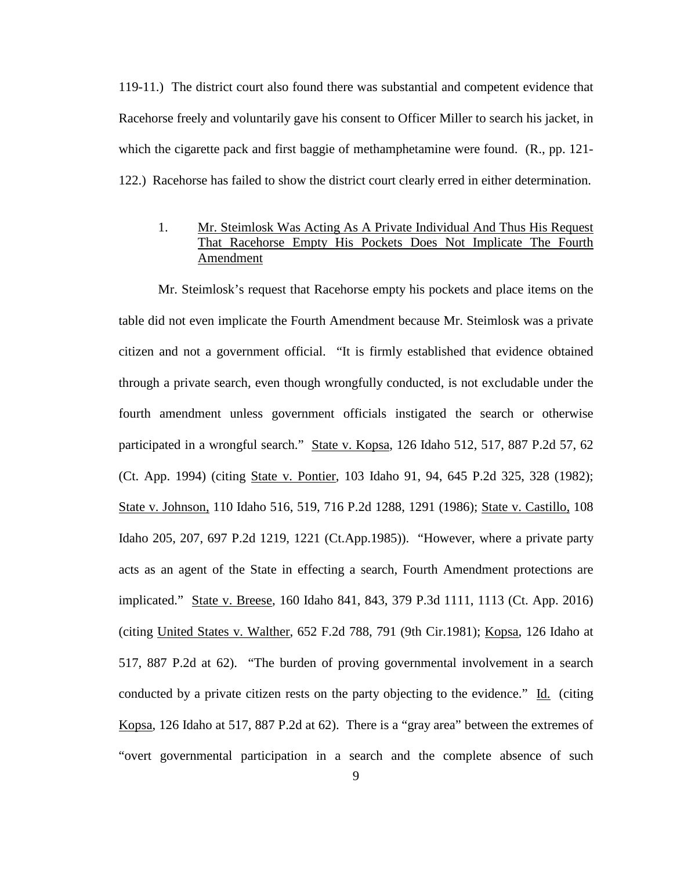119-11.) The district court also found there was substantial and competent evidence that Racehorse freely and voluntarily gave his consent to Officer Miller to search his jacket, in which the cigarette pack and first baggie of methamphetamine were found. (R., pp. 121-122.) Racehorse has failed to show the district court clearly erred in either determination.

# 1. Mr. Steimlosk Was Acting As A Private Individual And Thus His Request That Racehorse Empty His Pockets Does Not Implicate The Fourth Amendment

Mr. Steimlosk's request that Racehorse empty his pockets and place items on the table did not even implicate the Fourth Amendment because Mr. Steimlosk was a private citizen and not a government official. "It is firmly established that evidence obtained through a private search, even though wrongfully conducted, is not excludable under the fourth amendment unless government officials instigated the search or otherwise participated in a wrongful search." State v. Kopsa, 126 Idaho 512, 517, 887 P.2d 57, 62 (Ct. App. 1994) (citing State v. Pontier, 103 Idaho 91, 94, 645 P.2d 325, 328 (1982); State v. Johnson, 110 Idaho 516, 519, 716 P.2d 1288, 1291 (1986); State v. Castillo, 108 Idaho 205, 207, 697 P.2d 1219, 1221 (Ct.App.1985)). "However, where a private party acts as an agent of the State in effecting a search, Fourth Amendment protections are implicated." State v. Breese, 160 Idaho 841, 843, 379 P.3d 1111, 1113 (Ct. App. 2016) (citing United States v. Walther, 652 F.2d 788, 791 (9th Cir.1981); Kopsa, 126 Idaho at 517, 887 P.2d at 62). "The burden of proving governmental involvement in a search conducted by a private citizen rests on the party objecting to the evidence." Id. (citing Kopsa, 126 Idaho at 517, 887 P.2d at 62). There is a "gray area" between the extremes of "overt governmental participation in a search and the complete absence of such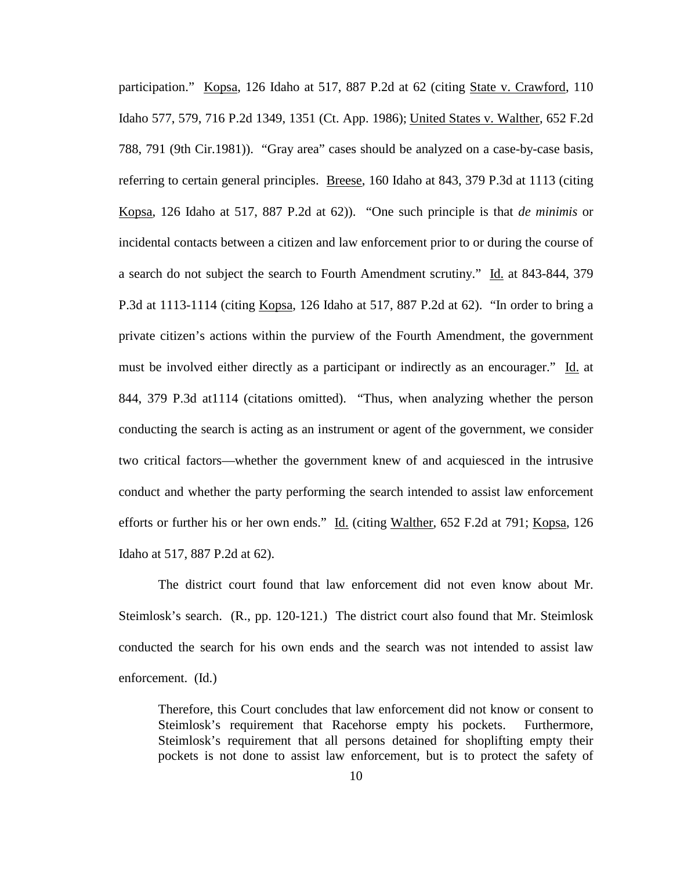participation." Kopsa, 126 Idaho at 517, 887 P.2d at 62 (citing State v. Crawford, 110 Idaho 577, 579, 716 P.2d 1349, 1351 (Ct. App. 1986); United States v. Walther, 652 F.2d 788, 791 (9th Cir.1981)). "Gray area" cases should be analyzed on a case-by-case basis, referring to certain general principles. Breese, 160 Idaho at 843, 379 P.3d at 1113 (citing Kopsa, 126 Idaho at 517, 887 P.2d at 62)). "One such principle is that *de minimis* or incidental contacts between a citizen and law enforcement prior to or during the course of a search do not subject the search to Fourth Amendment scrutiny." Id. at 843-844, 379 P.3d at 1113-1114 (citing Kopsa, 126 Idaho at 517, 887 P.2d at 62). "In order to bring a private citizen's actions within the purview of the Fourth Amendment, the government must be involved either directly as a participant or indirectly as an encourager." Id. at 844, 379 P.3d at1114 (citations omitted). "Thus, when analyzing whether the person conducting the search is acting as an instrument or agent of the government, we consider two critical factors—whether the government knew of and acquiesced in the intrusive conduct and whether the party performing the search intended to assist law enforcement efforts or further his or her own ends." Id. (citing Walther, 652 F.2d at 791; Kopsa, 126 Idaho at 517, 887 P.2d at 62).

The district court found that law enforcement did not even know about Mr. Steimlosk's search. (R., pp. 120-121.) The district court also found that Mr. Steimlosk conducted the search for his own ends and the search was not intended to assist law enforcement. (Id.)

Therefore, this Court concludes that law enforcement did not know or consent to Steimlosk's requirement that Racehorse empty his pockets. Furthermore, Steimlosk's requirement that all persons detained for shoplifting empty their pockets is not done to assist law enforcement, but is to protect the safety of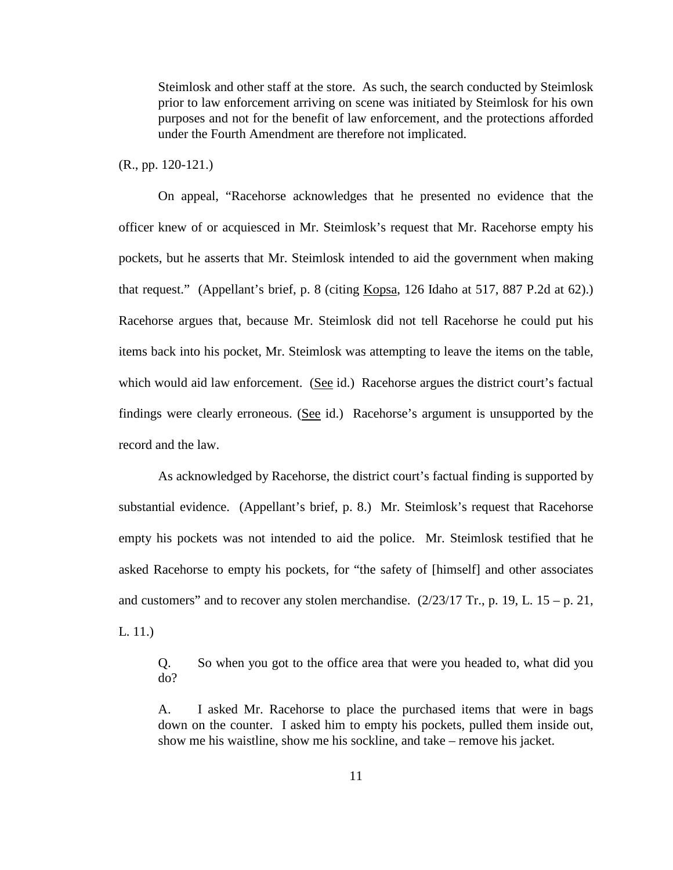Steimlosk and other staff at the store. As such, the search conducted by Steimlosk prior to law enforcement arriving on scene was initiated by Steimlosk for his own purposes and not for the benefit of law enforcement, and the protections afforded under the Fourth Amendment are therefore not implicated.

(R., pp. 120-121.)

On appeal, "Racehorse acknowledges that he presented no evidence that the officer knew of or acquiesced in Mr. Steimlosk's request that Mr. Racehorse empty his pockets, but he asserts that Mr. Steimlosk intended to aid the government when making that request." (Appellant's brief, p. 8 (citing Kopsa, 126 Idaho at 517, 887 P.2d at 62).) Racehorse argues that, because Mr. Steimlosk did not tell Racehorse he could put his items back into his pocket, Mr. Steimlosk was attempting to leave the items on the table, which would aid law enforcement. (See id.) Racehorse argues the district court's factual findings were clearly erroneous. (See id.) Racehorse's argument is unsupported by the record and the law.

As acknowledged by Racehorse, the district court's factual finding is supported by substantial evidence. (Appellant's brief, p. 8.) Mr. Steimlosk's request that Racehorse empty his pockets was not intended to aid the police. Mr. Steimlosk testified that he asked Racehorse to empty his pockets, for "the safety of [himself] and other associates and customers" and to recover any stolen merchandise.  $(2/23/17 \text{ Tr.}, p. 19, L. 15 - p. 21,$ L. 11.)

Q. So when you got to the office area that were you headed to, what did you do?

A. I asked Mr. Racehorse to place the purchased items that were in bags down on the counter. I asked him to empty his pockets, pulled them inside out, show me his waistline, show me his sockline, and take – remove his jacket.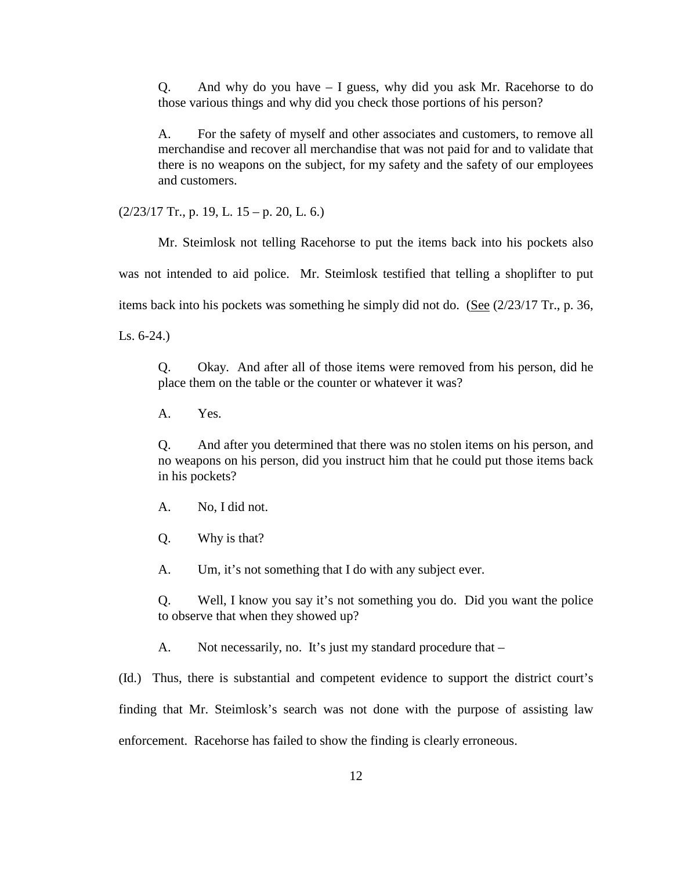Q. And why do you have – I guess, why did you ask Mr. Racehorse to do those various things and why did you check those portions of his person?

A. For the safety of myself and other associates and customers, to remove all merchandise and recover all merchandise that was not paid for and to validate that there is no weapons on the subject, for my safety and the safety of our employees and customers.

 $(2/23/17$  Tr., p. 19, L. 15 – p. 20, L. 6.)

Mr. Steimlosk not telling Racehorse to put the items back into his pockets also was not intended to aid police. Mr. Steimlosk testified that telling a shoplifter to put items back into his pockets was something he simply did not do. (See  $(2/23/17 \text{ Tr}$ , p. 36,

Ls. 6-24.)

Q. Okay. And after all of those items were removed from his person, did he place them on the table or the counter or whatever it was?

A. Yes.

Q. And after you determined that there was no stolen items on his person, and no weapons on his person, did you instruct him that he could put those items back in his pockets?

- A. No, I did not.
- Q. Why is that?

A. Um, it's not something that I do with any subject ever.

Q. Well, I know you say it's not something you do. Did you want the police to observe that when they showed up?

A. Not necessarily, no. It's just my standard procedure that –

(Id.) Thus, there is substantial and competent evidence to support the district court's finding that Mr. Steimlosk's search was not done with the purpose of assisting law enforcement. Racehorse has failed to show the finding is clearly erroneous.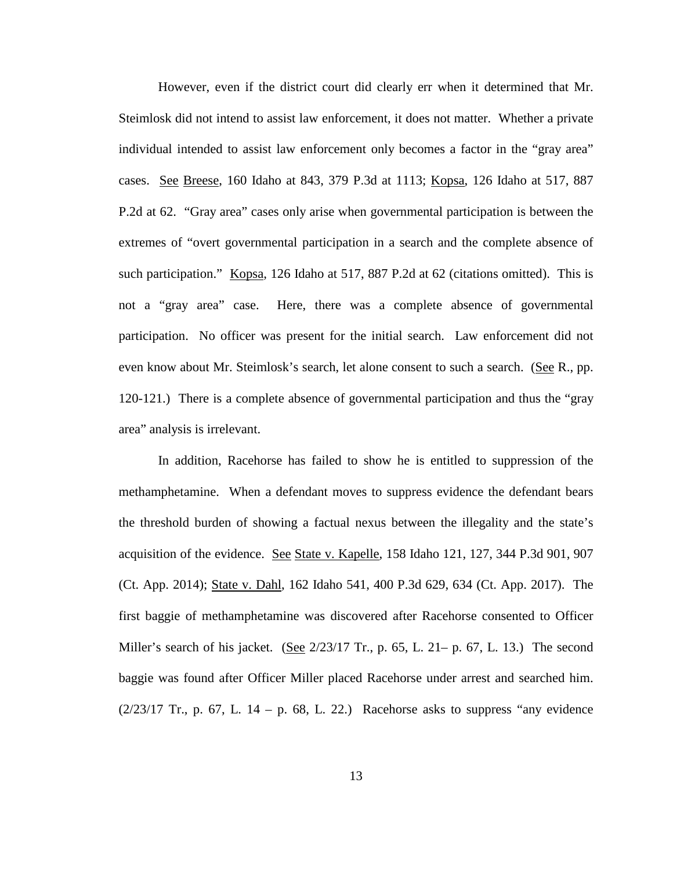However, even if the district court did clearly err when it determined that Mr. Steimlosk did not intend to assist law enforcement, it does not matter. Whether a private individual intended to assist law enforcement only becomes a factor in the "gray area" cases. See Breese, 160 Idaho at 843, 379 P.3d at 1113; Kopsa, 126 Idaho at 517, 887 P.2d at 62. "Gray area" cases only arise when governmental participation is between the extremes of "overt governmental participation in a search and the complete absence of such participation." Kopsa, 126 Idaho at 517, 887 P.2d at 62 (citations omitted). This is not a "gray area" case. Here, there was a complete absence of governmental participation. No officer was present for the initial search. Law enforcement did not even know about Mr. Steimlosk's search, let alone consent to such a search. (See R., pp. 120-121.) There is a complete absence of governmental participation and thus the "gray area" analysis is irrelevant.

In addition, Racehorse has failed to show he is entitled to suppression of the methamphetamine. When a defendant moves to suppress evidence the defendant bears the threshold burden of showing a factual nexus between the illegality and the state's acquisition of the evidence. See State v. Kapelle, 158 Idaho 121, 127, 344 P.3d 901, 907 (Ct. App. 2014); State v. Dahl, 162 Idaho 541, 400 P.3d 629, 634 (Ct. App. 2017). The first baggie of methamphetamine was discovered after Racehorse consented to Officer Miller's search of his jacket. (See 2/23/17 Tr., p. 65, L. 21– p. 67, L. 13.) The second baggie was found after Officer Miller placed Racehorse under arrest and searched him.  $(2/23/17$  Tr., p. 67, L. 14 – p. 68, L. 22.) Racehorse asks to suppress "any evidence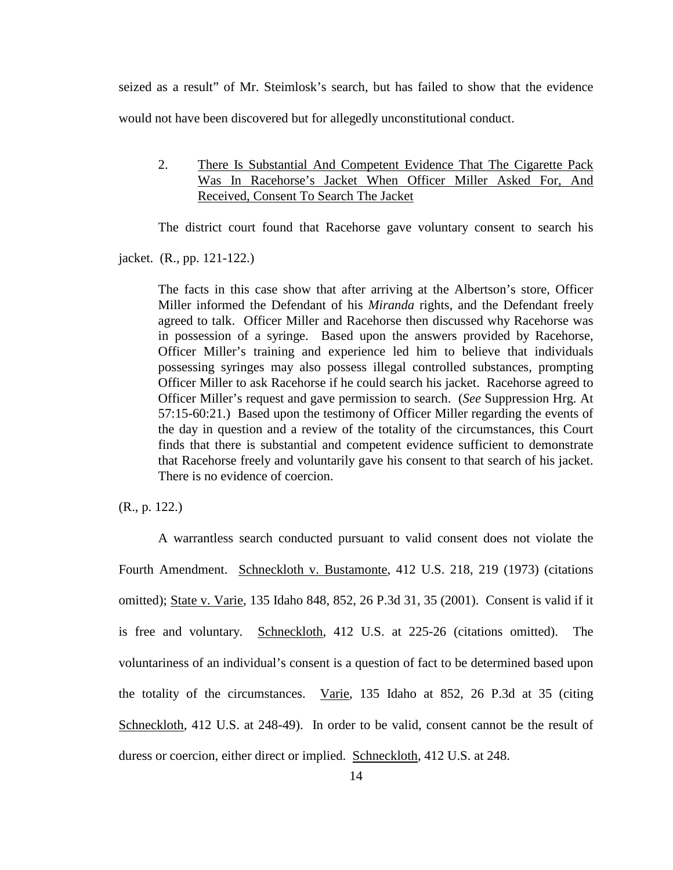seized as a result" of Mr. Steimlosk's search, but has failed to show that the evidence would not have been discovered but for allegedly unconstitutional conduct.

2. There Is Substantial And Competent Evidence That The Cigarette Pack Was In Racehorse's Jacket When Officer Miller Asked For, And Received, Consent To Search The Jacket

The district court found that Racehorse gave voluntary consent to search his

jacket. (R., pp. 121-122.)

The facts in this case show that after arriving at the Albertson's store, Officer Miller informed the Defendant of his *Miranda* rights, and the Defendant freely agreed to talk. Officer Miller and Racehorse then discussed why Racehorse was in possession of a syringe. Based upon the answers provided by Racehorse, Officer Miller's training and experience led him to believe that individuals possessing syringes may also possess illegal controlled substances, prompting Officer Miller to ask Racehorse if he could search his jacket. Racehorse agreed to Officer Miller's request and gave permission to search. (*See* Suppression Hrg. At 57:15-60:21.) Based upon the testimony of Officer Miller regarding the events of the day in question and a review of the totality of the circumstances, this Court finds that there is substantial and competent evidence sufficient to demonstrate that Racehorse freely and voluntarily gave his consent to that search of his jacket. There is no evidence of coercion.

(R., p. 122.)

A warrantless search conducted pursuant to valid consent does not violate the Fourth Amendment. Schneckloth v. Bustamonte, 412 U.S. 218, 219 (1973) (citations omitted); State v. Varie, 135 Idaho 848, 852, 26 P.3d 31, 35 (2001). Consent is valid if it is free and voluntary. Schneckloth, 412 U.S. at 225-26 (citations omitted). The voluntariness of an individual's consent is a question of fact to be determined based upon the totality of the circumstances. Varie, 135 Idaho at 852, 26 P.3d at 35 (citing Schneckloth, 412 U.S. at 248-49). In order to be valid, consent cannot be the result of duress or coercion, either direct or implied. Schneckloth, 412 U.S. at 248.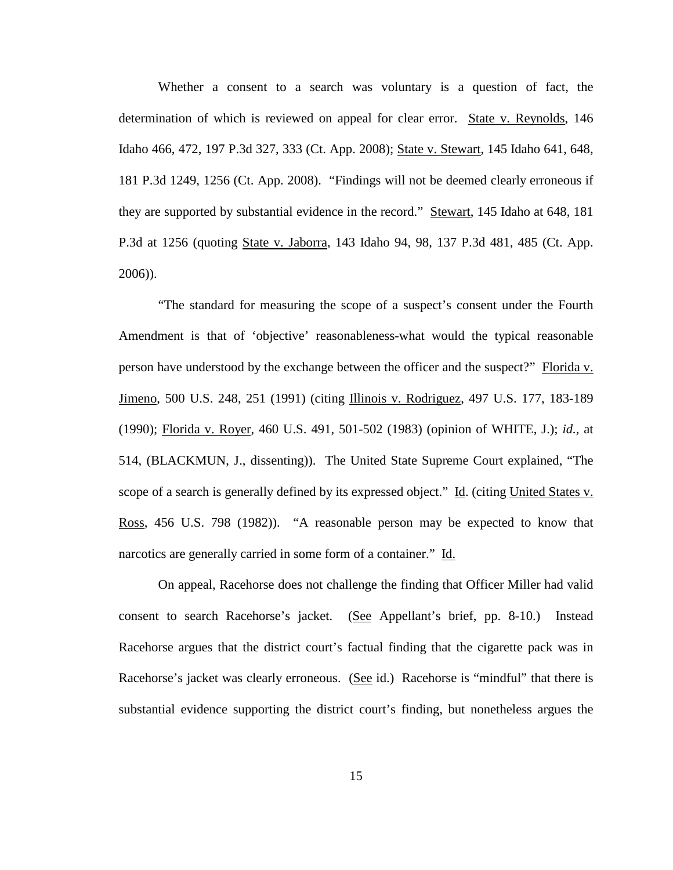Whether a consent to a search was voluntary is a question of fact, the determination of which is reviewed on appeal for clear error. State v. Reynolds, 146 Idaho 466, 472, 197 P.3d 327, 333 (Ct. App. 2008); State v. Stewart, 145 Idaho 641, 648, 181 P.3d 1249, 1256 (Ct. App. 2008). "Findings will not be deemed clearly erroneous if they are supported by substantial evidence in the record." Stewart, 145 Idaho at 648, 181 P.3d at 1256 (quoting State v. Jaborra, 143 Idaho 94, 98, 137 P.3d 481, 485 (Ct. App. 2006)).

"The standard for measuring the scope of a suspect's consent under the Fourth Amendment is that of 'objective' reasonableness-what would the typical reasonable person have understood by the exchange between the officer and the suspect?" Florida v. Jimeno, 500 U.S. 248, 251 (1991) (citing Illinois v. Rodriguez, 497 U.S. 177, 183-189 (1990); Florida v. Royer, 460 U.S. 491, 501-502 (1983) (opinion of WHITE, J.); *id.,* at 514, (BLACKMUN, J., dissenting)). The United State Supreme Court explained, "The scope of a search is generally defined by its expressed object." Id. (citing United States v. Ross, 456 U.S. 798 (1982)). "A reasonable person may be expected to know that narcotics are generally carried in some form of a container." Id.

On appeal, Racehorse does not challenge the finding that Officer Miller had valid consent to search Racehorse's jacket. (See Appellant's brief, pp. 8-10.) Instead Racehorse argues that the district court's factual finding that the cigarette pack was in Racehorse's jacket was clearly erroneous. (See id.) Racehorse is "mindful" that there is substantial evidence supporting the district court's finding, but nonetheless argues the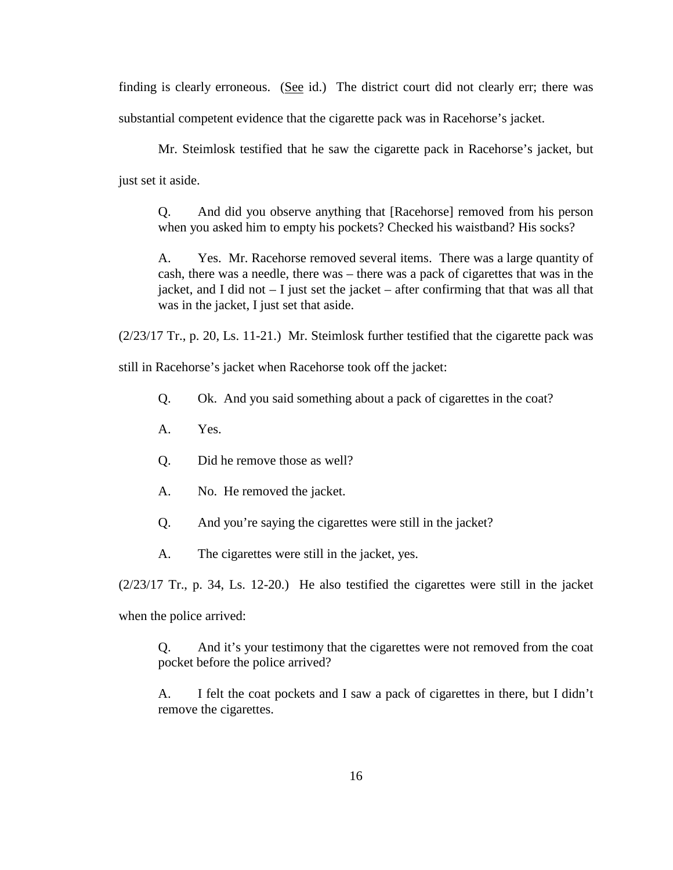finding is clearly erroneous. (See id.) The district court did not clearly err; there was substantial competent evidence that the cigarette pack was in Racehorse's jacket.

Mr. Steimlosk testified that he saw the cigarette pack in Racehorse's jacket, but just set it aside.

Q. And did you observe anything that [Racehorse] removed from his person when you asked him to empty his pockets? Checked his waistband? His socks?

A. Yes. Mr. Racehorse removed several items. There was a large quantity of cash, there was a needle, there was – there was a pack of cigarettes that was in the jacket, and I did not  $-$  I just set the jacket  $-$  after confirming that that was all that was in the jacket, I just set that aside.

(2/23/17 Tr., p. 20, Ls. 11-21.) Mr. Steimlosk further testified that the cigarette pack was

still in Racehorse's jacket when Racehorse took off the jacket:

- Q. Ok. And you said something about a pack of cigarettes in the coat?
- A. Yes.
- Q. Did he remove those as well?
- A. No. He removed the jacket.
- Q. And you're saying the cigarettes were still in the jacket?
- A. The cigarettes were still in the jacket, yes.

 $(2/23/17$  Tr., p. 34, Ls. 12-20.) He also testified the cigarettes were still in the jacket when the police arrived:

Q. And it's your testimony that the cigarettes were not removed from the coat pocket before the police arrived?

A. I felt the coat pockets and I saw a pack of cigarettes in there, but I didn't remove the cigarettes.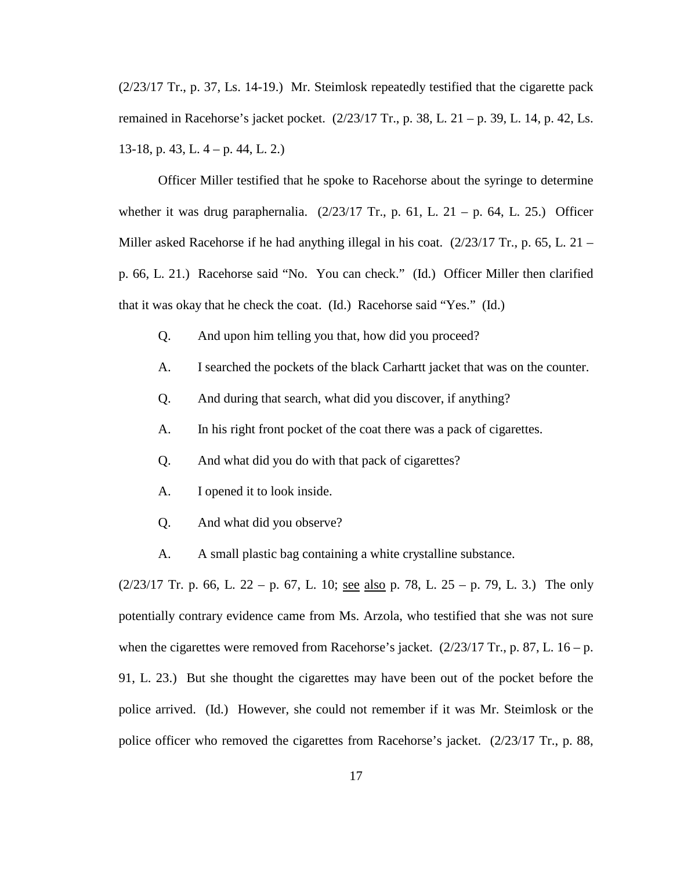(2/23/17 Tr., p. 37, Ls. 14-19.) Mr. Steimlosk repeatedly testified that the cigarette pack remained in Racehorse's jacket pocket. (2/23/17 Tr., p. 38, L. 21 – p. 39, L. 14, p. 42, Ls. 13-18, p. 43, L. 4 – p. 44, L. 2.)

Officer Miller testified that he spoke to Racehorse about the syringe to determine whether it was drug paraphernalia.  $(2/23/17 \text{ Tr}$ , p. 61, L. 21 – p. 64, L. 25.) Officer Miller asked Racehorse if he had anything illegal in his coat.  $(2/23/17 \text{ Tr.}, p. 65, L. 21$ p. 66, L. 21.) Racehorse said "No. You can check." (Id.) Officer Miller then clarified that it was okay that he check the coat. (Id.) Racehorse said "Yes." (Id.)

- Q. And upon him telling you that, how did you proceed?
- A. I searched the pockets of the black Carhartt jacket that was on the counter.
- Q. And during that search, what did you discover, if anything?
- A. In his right front pocket of the coat there was a pack of cigarettes.
- Q. And what did you do with that pack of cigarettes?
- A. I opened it to look inside.
- Q. And what did you observe?
- A. A small plastic bag containing a white crystalline substance.

 $(2/23/17$  Tr. p. 66, L. 22 – p. 67, L. 10; see also p. 78, L. 25 – p. 79, L. 3.) The only potentially contrary evidence came from Ms. Arzola, who testified that she was not sure when the cigarettes were removed from Racehorse's jacket.  $(2/23/17 \text{ Tr.}, p. 87, L. 16 - p.$ 91, L. 23.) But she thought the cigarettes may have been out of the pocket before the police arrived. (Id.) However, she could not remember if it was Mr. Steimlosk or the police officer who removed the cigarettes from Racehorse's jacket. (2/23/17 Tr., p. 88,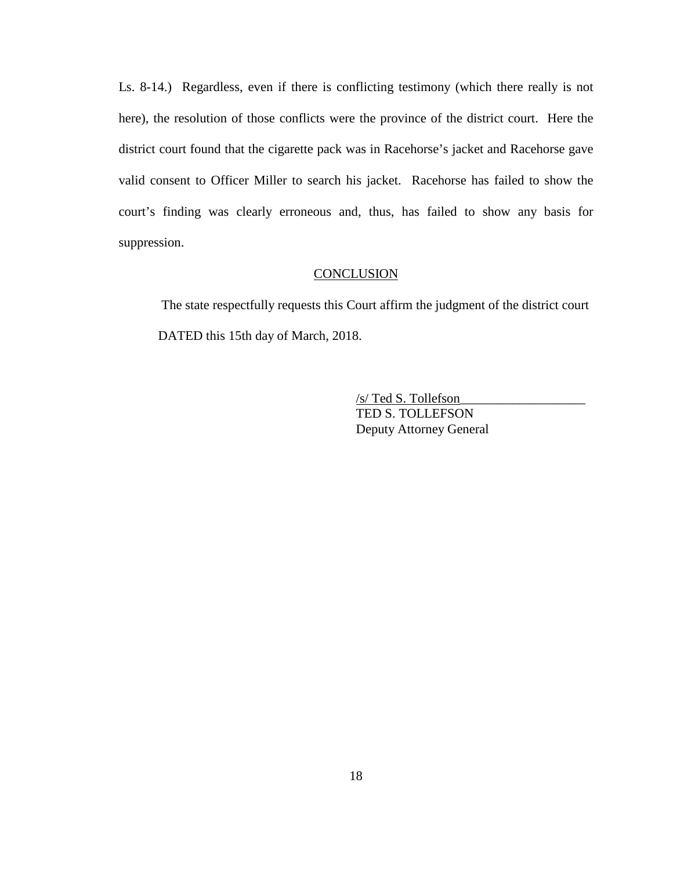Ls. 8-14.) Regardless, even if there is conflicting testimony (which there really is not here), the resolution of those conflicts were the province of the district court. Here the district court found that the cigarette pack was in Racehorse's jacket and Racehorse gave valid consent to Officer Miller to search his jacket. Racehorse has failed to show the court's finding was clearly erroneous and, thus, has failed to show any basis for suppression.

### **CONCLUSION**

 The state respectfully requests this Court affirm the judgment of the district court DATED this 15th day of March, 2018.

> /s/ Ted S. Tollefson\_\_\_\_\_\_\_\_\_\_\_\_\_\_\_\_\_\_\_ TED S. TOLLEFSON Deputy Attorney General